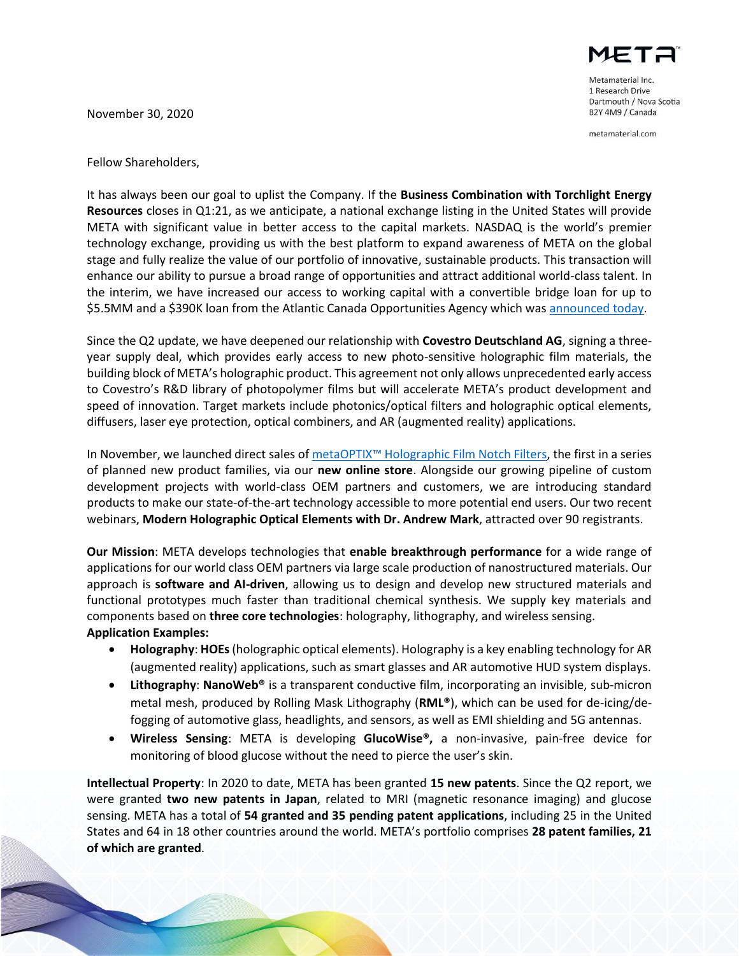November 30, 2020



Metamaterial Inc. 1 Research Drive Dartmouth / Nova Scotia B2Y 4M9 / Canada

metamaterial.com

Fellow Shareholders,

It has always been our goal to uplist the Company. If the **Business Combination with Torchlight Energy Resources** closes in Q1:21, as we anticipate, a national exchange listing in the United States will provide META with significant value in better access to the capital markets. NASDAQ is the world's premier technology exchange, providing us with the best platform to expand awareness of META on the global stage and fully realize the value of our portfolio of innovative, sustainable products. This transaction will enhance our ability to pursue a broad range of opportunities and attract additional world-class talent. In the interim, we have increased our access to working capital with a convertible bridge loan for up to \$5.5MM and a \$390K loan from the Atlantic Canada Opportunities Agency which was [announced today.](https://metamaterial.com/metamaterial-announces-5-5m-bridge-financing-and-390000-loan-from-acoa/)

Since the Q2 update, we have deepened our relationship with **Covestro Deutschland AG**, signing a threeyear supply deal, which provides early access to new photo-sensitive holographic film materials, the building block of META's holographic product. This agreement not only allows unprecedented early access to Covestro's R&D library of photopolymer films but will accelerate META's product development and speed of innovation. Target markets include photonics/optical filters and holographic optical elements, diffusers, laser eye protection, optical combiners, and AR (augmented reality) applications.

In November, we launched direct sales of metaOPTIX™ [Holographic Film Notch Filters,](https://shop.metamaterial.com/product-category/thin-film-notch-filters/) the first in a series of planned new product families, via our **new online store**. Alongside our growing pipeline of custom development projects with world-class OEM partners and customers, we are introducing standard products to make our state-of-the-art technology accessible to more potential end users. Our two recent webinars, **Modern Holographic Optical Elements with Dr. Andrew Mark**, attracted over 90 registrants.

**Our Mission**: META develops technologies that **enable breakthrough performance** for a wide range of applications for our world class OEM partners via large scale production of nanostructured materials. Our approach is **software and AI-driven**, allowing us to design and develop new structured materials and functional prototypes much faster than traditional chemical synthesis. We supply key materials and components based on **three core technologies**: holography, lithography, and wireless sensing. **Application Examples:**

- **Holography**: **HOEs**(holographic optical elements). Holography is a key enabling technology for AR (augmented reality) applications, such as smart glasses and AR automotive HUD system displays.
- **Lithography**: **NanoWeb®** is a transparent conductive film, incorporating an invisible, sub-micron metal mesh, produced by Rolling Mask Lithography (**RML®**), which can be used for de-icing/defogging of automotive glass, headlights, and sensors, as well as EMI shielding and 5G antennas.
- **Wireless Sensing**: META is developing **GlucoWise®,** a non-invasive, pain-free device for monitoring of blood glucose without the need to pierce the user's skin.

**Intellectual Property**: In 2020 to date, META has been granted **15 new patents**. Since the Q2 report, we were granted **two new patents in Japan**, related to MRI (magnetic resonance imaging) and glucose sensing. META has a total of **54 granted and 35 pending patent applications**, including 25 in the United States and 64 in 18 other countries around the world. META's portfolio comprises **28 patent families, 21 of which are granted**.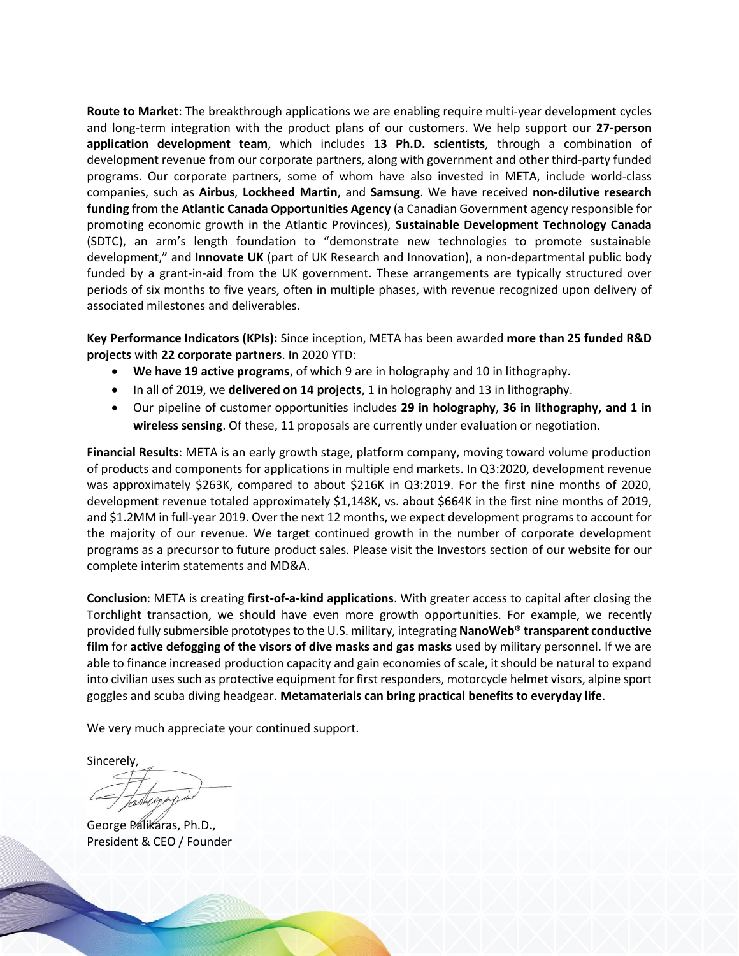**Route to Market**: The breakthrough applications we are enabling require multi-year development cycles and long-term integration with the product plans of our customers. We help support our **27-person application development team**, which includes **13 Ph.D. scientists**, through a combination of development revenue from our corporate partners, along with government and other third-party funded programs. Our corporate partners, some of whom have also invested in META, include world-class companies, such as **Airbus**, **Lockheed Martin**, and **Samsung**. We have received **non-dilutive research funding** from the **Atlantic Canada Opportunities Agency** (a Canadian Government agency responsible for promoting economic growth in the Atlantic Provinces), **Sustainable Development Technology Canada** (SDTC), an arm's length foundation to "demonstrate new technologies to promote sustainable development," and **Innovate UK** (part of UK Research and Innovation), a non-departmental public body funded by a grant-in-aid from the UK government. These arrangements are typically structured over periods of six months to five years, often in multiple phases, with revenue recognized upon delivery of associated milestones and deliverables.

**Key Performance Indicators (KPIs):** Since inception, META has been awarded **more than 25 funded R&D projects** with **22 corporate partners**. In 2020 YTD:

- **We have 19 active programs**, of which 9 are in holography and 10 in lithography.
- In all of 2019, we **delivered on 14 projects**, 1 in holography and 13 in lithography.
- Our pipeline of customer opportunities includes **29 in holography**, **36 in lithography, and 1 in wireless sensing**. Of these, 11 proposals are currently under evaluation or negotiation.

**Financial Results**: META is an early growth stage, platform company, moving toward volume production of products and components for applications in multiple end markets. In Q3:2020, development revenue was approximately \$263K, compared to about \$216K in Q3:2019. For the first nine months of 2020, development revenue totaled approximately \$1,148K, vs. about \$664K in the first nine months of 2019, and \$1.2MM in full-year 2019. Over the next 12 months, we expect development programs to account for the majority of our revenue. We target continued growth in the number of corporate development programs as a precursor to future product sales. Please visit the Investors section of our website for our complete interim statements and MD&A.

**Conclusion**: META is creating **first-of-a-kind applications**. With greater access to capital after closing the Torchlight transaction, we should have even more growth opportunities. For example, we recently provided fully submersible prototypesto the U.S. military, integrating **NanoWeb® transparent conductive film** for **active defogging of the visors of dive masks and gas masks** used by military personnel. If we are able to finance increased production capacity and gain economies of scale, it should be natural to expand into civilian uses such as protective equipment for first responders, motorcycle helmet visors, alpine sport goggles and scuba diving headgear. **Metamaterials can bring practical benefits to everyday life**.

We very much appreciate your continued support.

Sincerely,

George Palikaras, Ph.D., President & CEO / Founder